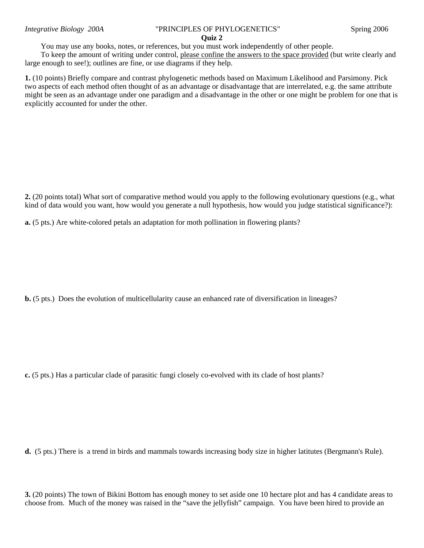## **Quiz 2**

You may use any books, notes, or references, but you must work independently of other people.

To keep the amount of writing under control, please confine the answers to the space provided (but write clearly and large enough to see!); outlines are fine, or use diagrams if they help.

**1.** (10 points) Briefly compare and contrast phylogenetic methods based on Maximum Likelihood and Parsimony. Pick two aspects of each method often thought of as an advantage or disadvantage that are interrelated, e.g. the same attribute might be seen as an advantage under one paradigm and a disadvantage in the other or one might be problem for one that is explicitly accounted for under the other.

**2.** (20 points total) What sort of comparative method would you apply to the following evolutionary questions (e.g., what kind of data would you want, how would you generate a null hypothesis, how would you judge statistical significance?):

**a.** (5 pts.) Are white-colored petals an adaptation for moth pollination in flowering plants?

**b.** (5 pts.) Does the evolution of multicellularity cause an enhanced rate of diversification in lineages?

**c.** (5 pts.) Has a particular clade of parasitic fungi closely co-evolved with its clade of host plants?

**d.** (5 pts.) There is a trend in birds and mammals towards increasing body size in higher latitutes (Bergmann's Rule).

**3.** (20 points) The town of Bikini Bottom has enough money to set aside one 10 hectare plot and has 4 candidate areas to choose from. Much of the money was raised in the "save the jellyfish" campaign. You have been hired to provide an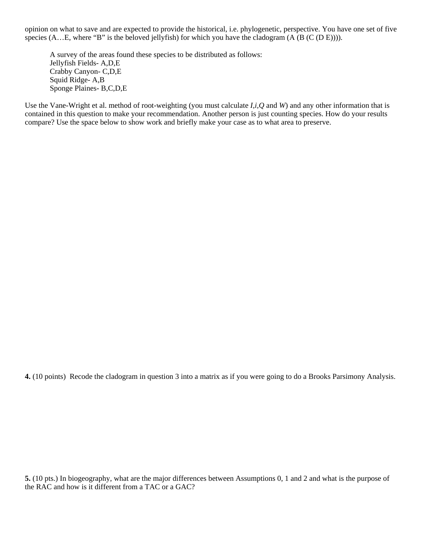opinion on what to save and are expected to provide the historical, i.e. phylogenetic, perspective. You have one set of five species  $(A...E)$ , where "B" is the beloved jellyfish) for which you have the cladogram  $(A (B (C (D E))))$ .

A survey of the areas found these species to be distributed as follows: Jellyfish Fields- A,D,E Crabby Canyon- C,D,E Squid Ridge- A,B Sponge Plaines- B,C,D,E

Use the Vane-Wright et al. method of root-weighting (you must calculate *I,i,Q* and *W*) and any other information that is contained in this question to make your recommendation. Another person is just counting species. How do your results compare? Use the space below to show work and briefly make your case as to what area to preserve.

**4.** (10 points) Recode the cladogram in question 3 into a matrix as if you were going to do a Brooks Parsimony Analysis.

**5.** (10 pts.) In biogeography, what are the major differences between Assumptions 0, 1 and 2 and what is the purpose of the RAC and how is it different from a TAC or a GAC?